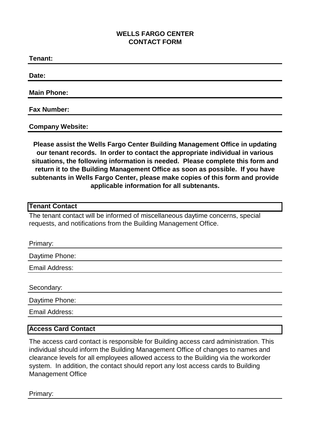# **WELLS FARGO CENTER CONTACT FORM**

**Tenant: Date:**

**Main Phone:**

#### **Fax Number:**

**Company Website:**

**Please assist the Wells Fargo Center Building Management Office in updating our tenant records. In order to contact the appropriate individual in various situations, the following information is needed. Please complete this form and return it to the Building Management Office as soon as possible. If you have subtenants in Wells Fargo Center, please make copies of this form and provide applicable information for all subtenants.**

#### **Tenant Contact**

The tenant contact will be informed of miscellaneous daytime concerns, special requests, and notifications from the Building Management Office.

| Primary:       |  |
|----------------|--|
| Daytime Phone: |  |
| Email Address: |  |
|                |  |
| Secondary:     |  |
| Daytime Phone: |  |
| Email Address: |  |

## **Access Card Contact**

The access card contact is responsible for Building access card administration. This individual should inform the Building Management Office of changes to names and clearance levels for all employees allowed access to the Building via the workorder system. In addition, the contact should report any lost access cards to Building Management Office

Primary: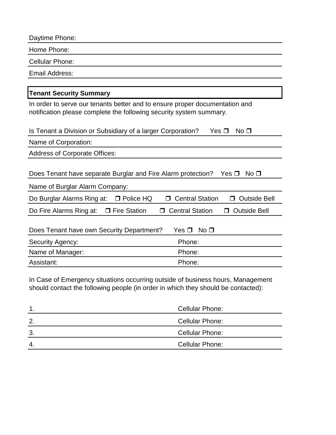| Daytime Phone:                                                                                                                                     |                                               |  |
|----------------------------------------------------------------------------------------------------------------------------------------------------|-----------------------------------------------|--|
| Home Phone:                                                                                                                                        |                                               |  |
| <b>Cellular Phone:</b>                                                                                                                             |                                               |  |
| <b>Email Address:</b>                                                                                                                              |                                               |  |
|                                                                                                                                                    |                                               |  |
| <b>Tenant Security Summary</b>                                                                                                                     |                                               |  |
| In order to serve our tenants better and to ensure proper documentation and<br>notification please complete the following security system summary. |                                               |  |
| Is Tenant a Division or Subsidiary of a larger Corporation?<br>Yes $\Box$<br>No <sub>1</sub>                                                       |                                               |  |
| Name of Corporation:                                                                                                                               |                                               |  |
| <b>Address of Corporate Offices:</b>                                                                                                               |                                               |  |
| Does Tenant have separate Burglar and Fire Alarm protection?<br>No <sub>1</sub><br>Yes $\Box$                                                      |                                               |  |
| Name of Burglar Alarm Company:                                                                                                                     |                                               |  |
| Do Burglar Alarms Ring at:<br>□ Police HQ                                                                                                          | <b>Central Station</b><br><b>Outside Bell</b> |  |
| Do Fire Alarms Ring at:<br>□ Fire Station                                                                                                          | <b>Central Station</b><br><b>Outside Bell</b> |  |
| Does Tenant have own Security Department?<br>Yes $\Box$<br>No <sub>D</sub>                                                                         |                                               |  |
| Security Agency:                                                                                                                                   | Phone:                                        |  |
| Name of Manager:                                                                                                                                   | Phone:                                        |  |
| Assistant:                                                                                                                                         | Phone:                                        |  |

In Case of Emergency situations occurring outside of business hours, Management should contact the following people (in order in which they should be contacted):

|    | <b>Cellular Phone:</b> |
|----|------------------------|
| 2. | <b>Cellular Phone:</b> |
| 3. | <b>Cellular Phone:</b> |
| 4. | <b>Cellular Phone:</b> |
|    |                        |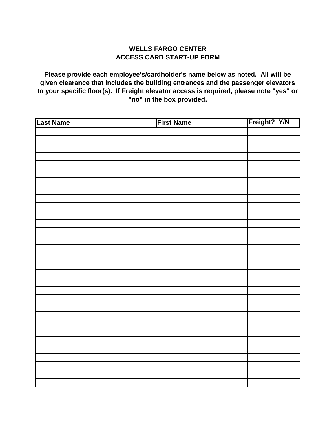## **WELLS FARGO CENTER ACCESS CARD START-UP FORM**

**Please provide each employee's/cardholder's name below as noted. All will be given clearance that includes the building entrances and the passenger elevators to your specific floor(s). If Freight elevator access is required, please note "yes" or "no" in the box provided.** 

| <b>Last Name</b> | <b>First Name</b> | Freight? Y/N |
|------------------|-------------------|--------------|
|                  |                   |              |
|                  |                   |              |
|                  |                   |              |
|                  |                   |              |
|                  |                   |              |
|                  |                   |              |
|                  |                   |              |
|                  |                   |              |
|                  |                   |              |
|                  |                   |              |
|                  |                   |              |
|                  |                   |              |
|                  |                   |              |
|                  |                   |              |
|                  |                   |              |
|                  |                   |              |
|                  |                   |              |
|                  |                   |              |
|                  |                   |              |
|                  |                   |              |
|                  |                   |              |
|                  |                   |              |
|                  |                   |              |
|                  |                   |              |
|                  |                   |              |
|                  |                   |              |
|                  |                   |              |
|                  |                   |              |
|                  |                   |              |
|                  |                   |              |
|                  |                   |              |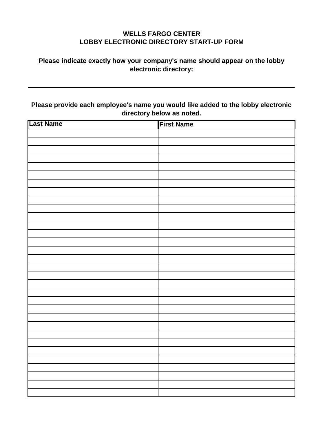# **WELLS FARGO CENTER LOBBY ELECTRONIC DIRECTORY START-UP FORM**

## **Please indicate exactly how your company's name should appear on the lobby electronic directory:**

**Please provide each employee's name you would like added to the lobby electronic directory below as noted.** 

| <b>Last Name</b> | <b>First Name</b> |
|------------------|-------------------|
|                  |                   |
|                  |                   |
|                  |                   |
|                  |                   |
|                  |                   |
|                  |                   |
|                  |                   |
|                  |                   |
|                  |                   |
|                  |                   |
|                  |                   |
|                  |                   |
|                  |                   |
|                  |                   |
|                  |                   |
|                  |                   |
|                  |                   |
|                  |                   |
|                  |                   |
|                  |                   |
|                  |                   |
|                  |                   |
|                  |                   |
|                  |                   |
|                  |                   |
|                  |                   |
|                  |                   |
|                  |                   |
|                  |                   |
|                  |                   |
|                  |                   |
|                  |                   |